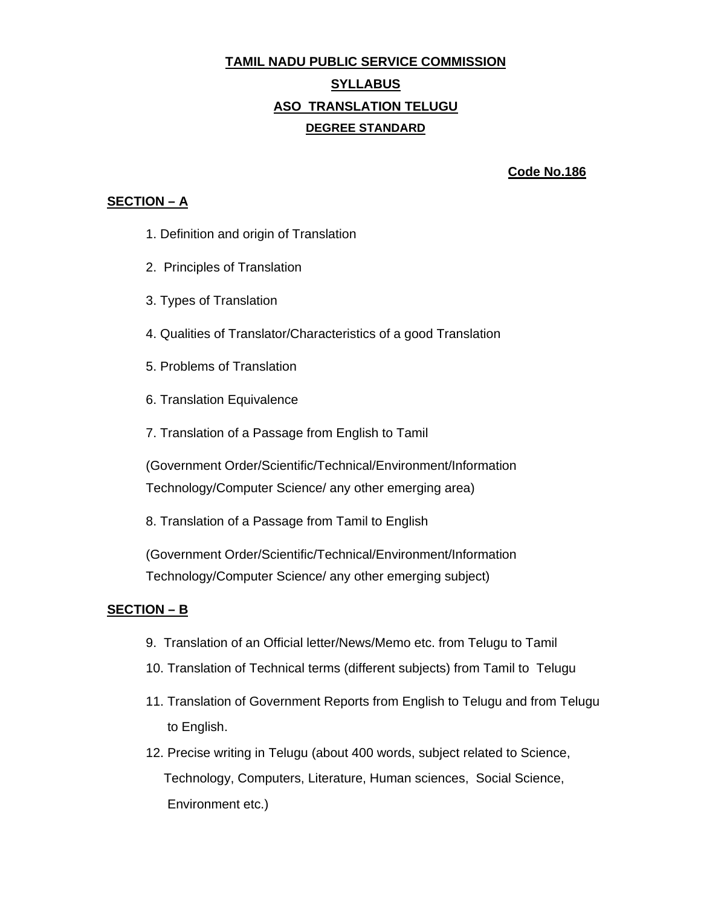## **TAMIL NADU PUBLIC SERVICE COMMISSION SYLLABUS ASO TRANSLATION TELUGU DEGREE STANDARD**

 **Code No.186**

## **SECTION – A**

- 1. Definition and origin of Translation
- 2. Principles of Translation
- 3. Types of Translation
- 4. Qualities of Translator/Characteristics of a good Translation
- 5. Problems of Translation
- 6. Translation Equivalence
- 7. Translation of a Passage from English to Tamil

(Government Order/Scientific/Technical/Environment/Information Technology/Computer Science/ any other emerging area)

8. Translation of a Passage from Tamil to English

(Government Order/Scientific/Technical/Environment/Information Technology/Computer Science/ any other emerging subject)

## **SECTION – B**

- 9. Translation of an Official letter/News/Memo etc. from Telugu to Tamil
- 10. Translation of Technical terms (different subjects) from Tamil to Telugu
- 11. Translation of Government Reports from English to Telugu and from Telugu to English.
- 12. Precise writing in Telugu (about 400 words, subject related to Science, Technology, Computers, Literature, Human sciences, Social Science, Environment etc.)